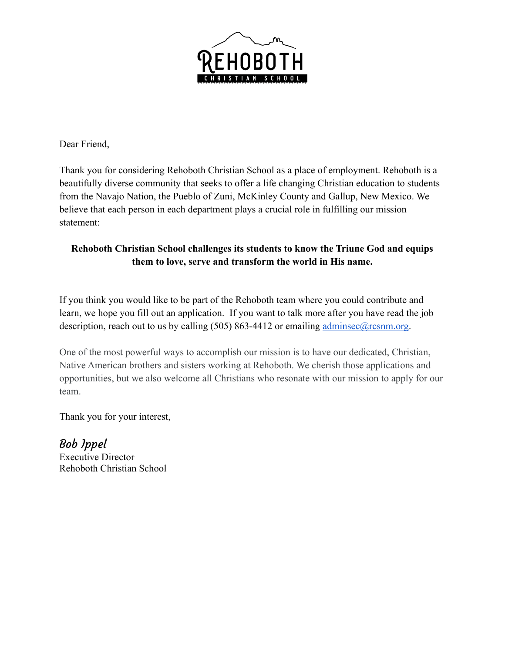

Dear Friend,

Thank you for considering Rehoboth Christian School as a place of employment. Rehoboth is a beautifully diverse community that seeks to offer a life changing Christian education to students from the Navajo Nation, the Pueblo of Zuni, McKinley County and Gallup, New Mexico. We believe that each person in each department plays a crucial role in fulfilling our mission statement:

### **Rehoboth Christian School challenges its students to know the Triune God and equips them to love, serve and transform the world in His name.**

If you think you would like to be part of the Rehoboth team where you could contribute and learn, we hope you fill out an application. If you want to talk more after you have read the job description, reach out to us by calling  $(505) 863-4412$  or emailing adminsec $@$ rcsnm.org.

One of the most powerful ways to accomplish our mission is to have our dedicated, Christian, Native American brothers and sisters working at Rehoboth. We cherish those applications and opportunities, but we also welcome all Christians who resonate with our mission to apply for our team.

Thank you for your interest,

Bob Ippel Executive Director Rehoboth Christian School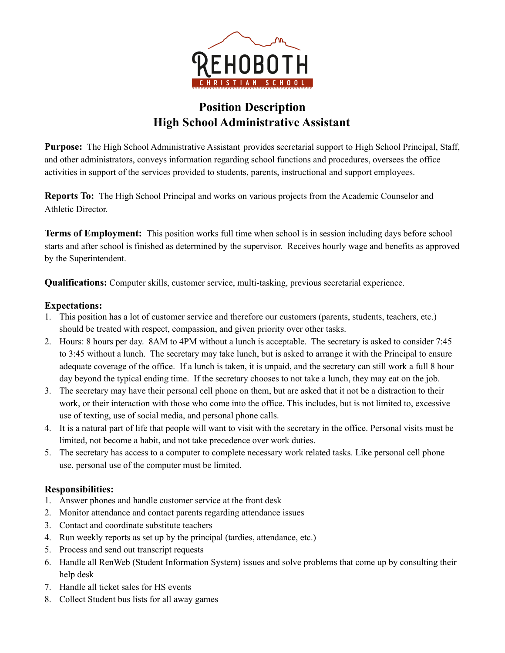

## **Position Description High School Administrative Assistant**

**Purpose:** The High School Administrative Assistant provides secretarial support to High School Principal, Staff, and other administrators, conveys information regarding school functions and procedures, oversees the office activities in support of the services provided to students, parents, instructional and support employees.

**Reports To:** The High School Principal and works on various projects from the Academic Counselor and Athletic Director.

**Terms of Employment:** This position works full time when school is in session including days before school starts and after school is finished as determined by the supervisor. Receives hourly wage and benefits as approved by the Superintendent.

**Qualifications:** Computer skills, customer service, multi-tasking, previous secretarial experience.

### **Expectations:**

- 1. This position has a lot of customer service and therefore our customers (parents, students, teachers, etc.) should be treated with respect, compassion, and given priority over other tasks.
- 2. Hours: 8 hours per day. 8AM to 4PM without a lunch is acceptable. The secretary is asked to consider 7:45 to 3:45 without a lunch. The secretary may take lunch, but is asked to arrange it with the Principal to ensure adequate coverage of the office. If a lunch is taken, it is unpaid, and the secretary can still work a full 8 hour day beyond the typical ending time. If the secretary chooses to not take a lunch, they may eat on the job.
- 3. The secretary may have their personal cell phone on them, but are asked that it not be a distraction to their work, or their interaction with those who come into the office. This includes, but is not limited to, excessive use of texting, use of social media, and personal phone calls.
- 4. It is a natural part of life that people will want to visit with the secretary in the office. Personal visits must be limited, not become a habit, and not take precedence over work duties.
- 5. The secretary has access to a computer to complete necessary work related tasks. Like personal cell phone use, personal use of the computer must be limited.

### **Responsibilities:**

- 1. Answer phones and handle customer service at the front desk
- 2. Monitor attendance and contact parents regarding attendance issues
- 3. Contact and coordinate substitute teachers
- 4. Run weekly reports as set up by the principal (tardies, attendance, etc.)
- 5. Process and send out transcript requests
- 6. Handle all RenWeb (Student Information System) issues and solve problems that come up by consulting their help desk
- 7. Handle all ticket sales for HS events
- 8. Collect Student bus lists for all away games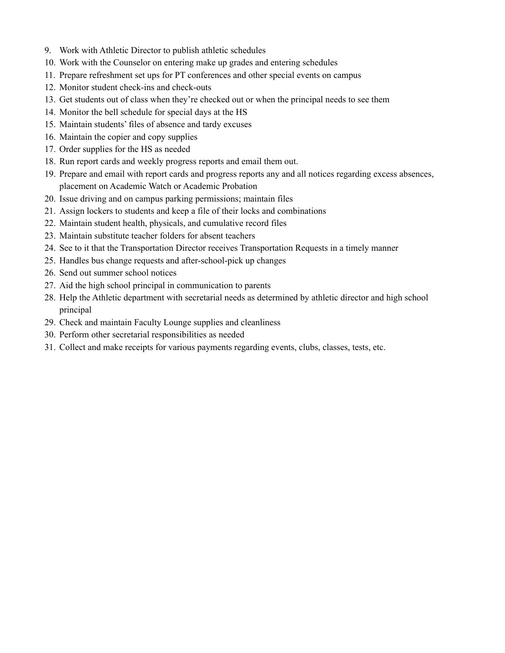- 9. Work with Athletic Director to publish athletic schedules
- 10. Work with the Counselor on entering make up grades and entering schedules
- 11. Prepare refreshment set ups for PT conferences and other special events on campus
- 12. Monitor student check-ins and check-outs
- 13. Get students out of class when they're checked out or when the principal needs to see them
- 14. Monitor the bell schedule for special days at the HS
- 15. Maintain students' files of absence and tardy excuses
- 16. Maintain the copier and copy supplies
- 17. Order supplies for the HS as needed
- 18. Run report cards and weekly progress reports and email them out.
- 19. Prepare and email with report cards and progress reports any and all notices regarding excess absences, placement on Academic Watch or Academic Probation
- 20. Issue driving and on campus parking permissions; maintain files
- 21. Assign lockers to students and keep a file of their locks and combinations
- 22. Maintain student health, physicals, and cumulative record files
- 23. Maintain substitute teacher folders for absent teachers
- 24. See to it that the Transportation Director receives Transportation Requests in a timely manner
- 25. Handles bus change requests and after-school-pick up changes
- 26. Send out summer school notices
- 27. Aid the high school principal in communication to parents
- 28. Help the Athletic department with secretarial needs as determined by athletic director and high school principal
- 29. Check and maintain Faculty Lounge supplies and cleanliness
- 30. Perform other secretarial responsibilities as needed
- 31. Collect and make receipts for various payments regarding events, clubs, classes, tests, etc.